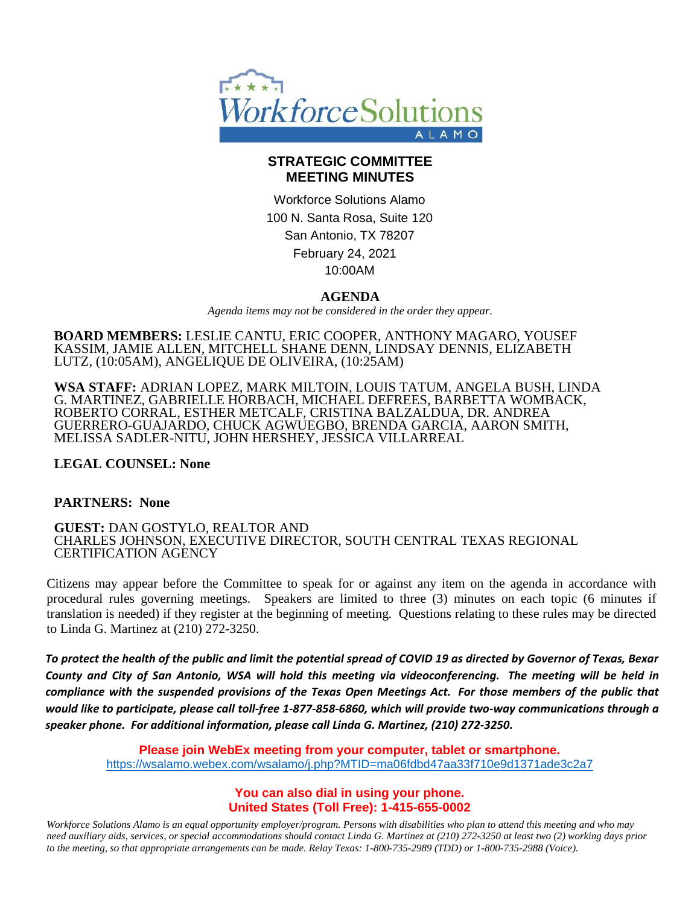

### **STRATEGIC COMMITTEE MEETING MINUTES**

Workforce Solutions Alamo 100 N. Santa Rosa, Suite 120 San Antonio, TX 78207 February 24, 2021 10:00AM

### **AGENDA**

*Agenda items may not be considered in the order they appear.*

**BOARD MEMBERS:** LESLIE CANTU, ERIC COOPER, ANTHONY MAGARO, YOUSEF KASSIM, JAMIE ALLEN, MITCHELL SHANE DENN, LINDSAY DENNIS, ELIZABETH LUTZ, (10:05AM), ANGELIQUE DE OLIVEIRA, (10:25AM)

**WSA STAFF:** ADRIAN LOPEZ, MARK MILTOIN, LOUIS TATUM, ANGELA BUSH, LINDA G. MARTINEZ, GABRIELLE HORBACH, MICHAEL DEFREES, BARBETTA WOMBACK, ROBERTO CORRAL, ESTHER METCALF, CRISTINA BALZALDUA, DR. ANDREA GUERRERO-GUAJARDO, CHUCK AGWUEGBO, BRENDA GARCIA, AARON SMITH, MELISSA SADLER-NITU, JOHN HERSHEY, JESSICA VILLARREAL

### **LEGAL COUNSEL: None**

#### **PARTNERS: None**

**GUEST:** DAN GOSTYLO, REALTOR AND CHARLES JOHNSON, EXECUTIVE DIRECTOR, SOUTH CENTRAL TEXAS REGIONAL CERTIFICATION AGENCY

Citizens may appear before the Committee to speak for or against any item on the agenda in accordance with procedural rules governing meetings. Speakers are limited to three (3) minutes on each topic (6 minutes if translation is needed) if they register at the beginning of meeting. Questions relating to these rules may be directed to Linda G. Martinez at (210) 272-3250.

*To protect the health of the public and limit the potential spread of COVID 19 as directed by Governor of Texas, Bexar County and City of San Antonio, WSA will hold this meeting via videoconferencing. The meeting will be held in compliance with the suspended provisions of the Texas Open Meetings Act. For those members of the public that would like to participate, please call toll-free 1-877-858-6860, which will provide two-way communications through a speaker phone. For additional information, please call Linda G. Martinez, (210) 272-3250.*

**Please join WebEx meeting from your computer, tablet or smartphone.**  <https://wsalamo.webex.com/wsalamo/j.php?MTID=ma06fdbd47aa33f710e9d1371ade3c2a7>

### **You can also dial in using your phone. United States (Toll Free): 1-415-655-0002**

*Workforce Solutions Alamo is an equal opportunity employer/program. Persons with disabilities who plan to attend this meeting and who may need auxiliary aids, services, or special accommodations should contact Linda G. Martinez at (210) 272-3250 at least two (2) working days prior to the meeting, so that appropriate arrangements can be made. Relay Texas: 1-800-735-2989 (TDD) or 1-800-735-2988 (Voice).*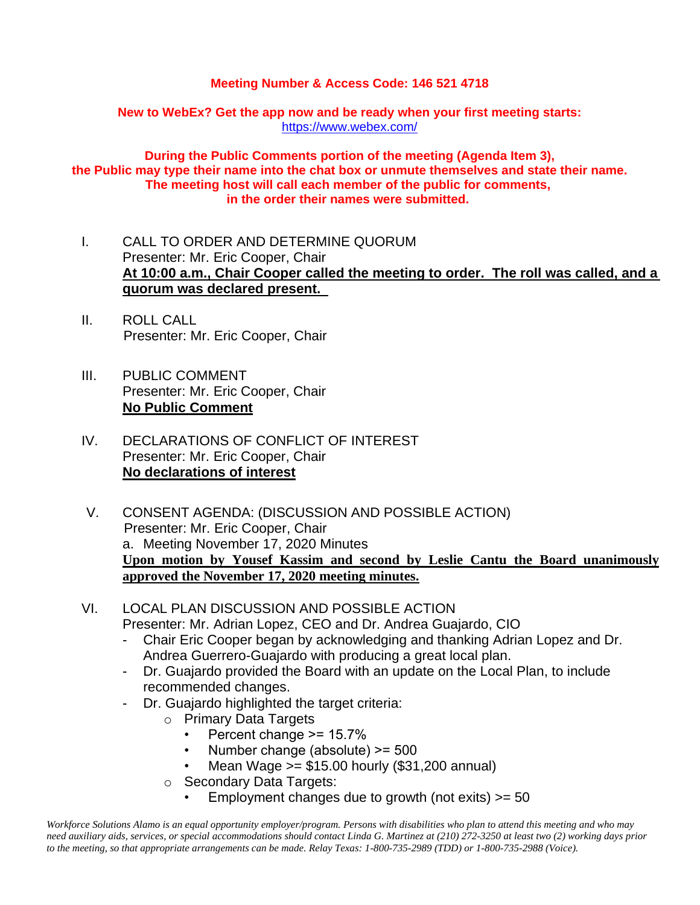### **Meeting Number & Access Code: 146 521 4718**

**New to WebEx? Get the app now and be ready when your first meeting starts:**  <https://www.webex.com/>

**During the Public Comments portion of the meeting (Agenda Item 3), the Public may type their name into the chat box or unmute themselves and state their name. The meeting host will call each member of the public for comments, in the order their names were submitted.**

- I. CALL TO ORDER AND DETERMINE QUORUM Presenter: Mr. Eric Cooper, Chair **At 10:00 a.m., Chair Cooper called the meeting to order. The roll was called, and a quorum was declared present.**
- II. ROLL CALL Presenter: Mr. Eric Cooper, Chair
- III. PUBLIC COMMENT Presenter: Mr. Eric Cooper, Chair **No Public Comment**
- IV. DECLARATIONS OF CONFLICT OF INTEREST Presenter: Mr. Eric Cooper, Chair **No declarations of interest**
- V. CONSENT AGENDA: (DISCUSSION AND POSSIBLE ACTION) Presenter: Mr. Eric Cooper, Chair a. Meeting November 17, 2020 Minutes **Upon motion by Yousef Kassim and second by Leslie Cantu the Board unanimously approved the November 17, 2020 meeting minutes.**
- VI. LOCAL PLAN DISCUSSION AND POSSIBLE ACTION Presenter: Mr. Adrian Lopez, CEO and Dr. Andrea Guajardo, CIO
	- Chair Eric Cooper began by acknowledging and thanking Adrian Lopez and Dr. Andrea Guerrero-Guajardo with producing a great local plan.
	- Dr. Guajardo provided the Board with an update on the Local Plan, to include recommended changes.
	- Dr. Guajardo highlighted the target criteria:
		- o Primary Data Targets
			- Percent change >= 15.7%
			- Number change (absolute) >= 500
			- Mean Wage >= \$15.00 hourly (\$31,200 annual)
		- o Secondary Data Targets:
			- Employment changes due to growth (not exits)  $>= 50$

*Workforce Solutions Alamo is an equal opportunity employer/program. Persons with disabilities who plan to attend this meeting and who may need auxiliary aids, services, or special accommodations should contact Linda G. Martinez at (210) 272-3250 at least two (2) working days prior to the meeting, so that appropriate arrangements can be made. Relay Texas: 1-800-735-2989 (TDD) or 1-800-735-2988 (Voice).*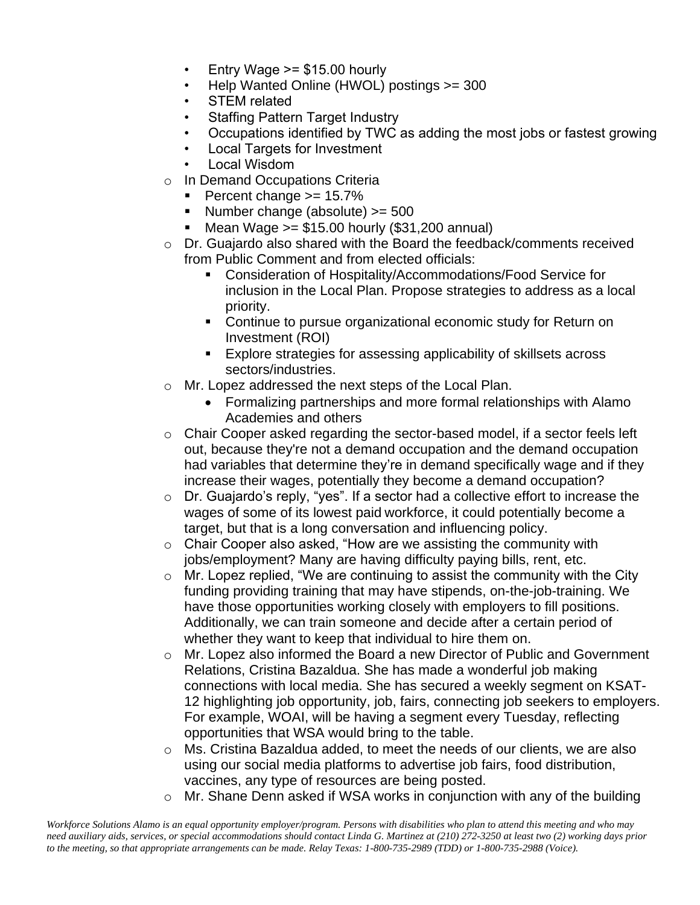- Entry Wage  $>= $15.00$  hourly
- Help Wanted Online (HWOL) postings >= 300
- STEM related
- Staffing Pattern Target Industry
- Occupations identified by TWC as adding the most jobs or fastest growing
- Local Targets for Investment
- Local Wisdom
- o In Demand Occupations Criteria
	- $\blacksquare$  Percent change  $\gt$  = 15.7%
	- $\blacksquare$  Number change (absolute)  $\gt=$  500
	- **■** Mean Wage  $>= $15.00$  hourly  $($31,200$  annual)
- o Dr. Guajardo also shared with the Board the feedback/comments received from Public Comment and from elected officials:
	- Consideration of Hospitality/Accommodations/Food Service for inclusion in the Local Plan. Propose strategies to address as a local priority.
	- Continue to pursue organizational economic study for Return on Investment (ROI)
	- Explore strategies for assessing applicability of skillsets across sectors/industries.
- o Mr. Lopez addressed the next steps of the Local Plan.
	- Formalizing partnerships and more formal relationships with Alamo Academies and others
- o Chair Cooper asked regarding the sector-based model, if a sector feels left out, because they're not a demand occupation and the demand occupation had variables that determine they're in demand specifically wage and if they increase their wages, potentially they become a demand occupation?
- o Dr. Guajardo's reply, "yes". If a sector had a collective effort to increase the wages of some of its lowest paid workforce, it could potentially become a target, but that is a long conversation and influencing policy.
- o Chair Cooper also asked, "How are we assisting the community with jobs/employment? Many are having difficulty paying bills, rent, etc.
- $\circ$  Mr. Lopez replied, "We are continuing to assist the community with the City funding providing training that may have stipends, on-the-job-training. We have those opportunities working closely with employers to fill positions. Additionally, we can train someone and decide after a certain period of whether they want to keep that individual to hire them on.
- o Mr. Lopez also informed the Board a new Director of Public and Government Relations, Cristina Bazaldua. She has made a wonderful job making connections with local media. She has secured a weekly segment on KSAT-12 highlighting job opportunity, job, fairs, connecting job seekers to employers. For example, WOAI, will be having a segment every Tuesday, reflecting opportunities that WSA would bring to the table.
- o Ms. Cristina Bazaldua added, to meet the needs of our clients, we are also using our social media platforms to advertise job fairs, food distribution, vaccines, any type of resources are being posted.
- $\circ$  Mr. Shane Denn asked if WSA works in conjunction with any of the building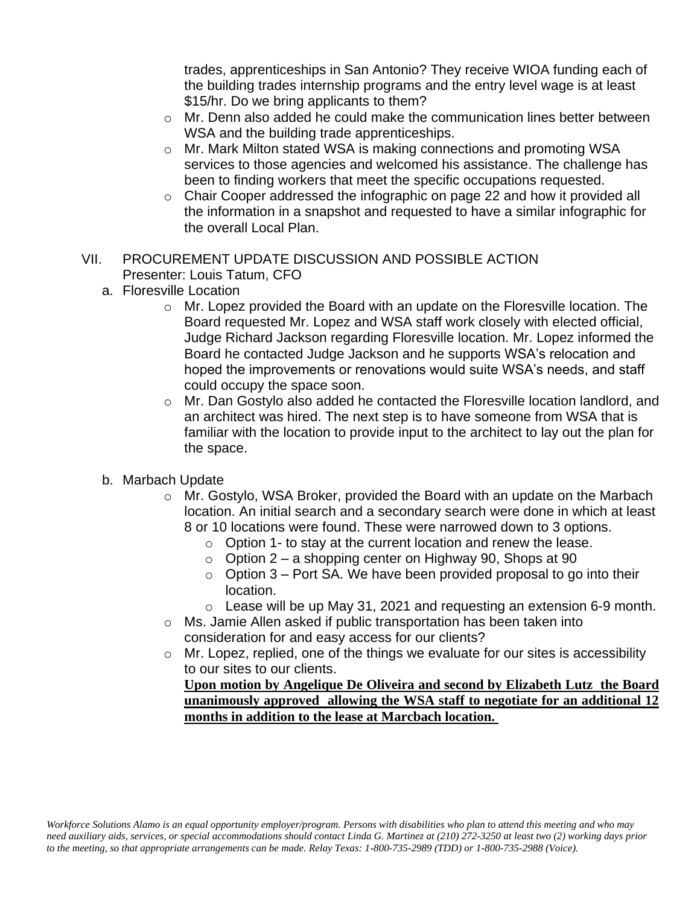trades, apprenticeships in San Antonio? They receive WIOA funding each of the building trades internship programs and the entry level wage is at least \$15/hr. Do we bring applicants to them?

- o Mr. Denn also added he could make the communication lines better between WSA and the building trade apprenticeships.
- o Mr. Mark Milton stated WSA is making connections and promoting WSA services to those agencies and welcomed his assistance. The challenge has been to finding workers that meet the specific occupations requested.
- o Chair Cooper addressed the infographic on page 22 and how it provided all the information in a snapshot and requested to have a similar infographic for the overall Local Plan.
- VII. PROCUREMENT UPDATE DISCUSSION AND POSSIBLE ACTION Presenter: Louis Tatum, CFO
	- a. Floresville Location
		- o Mr. Lopez provided the Board with an update on the Floresville location. The Board requested Mr. Lopez and WSA staff work closely with elected official, Judge Richard Jackson regarding Floresville location. Mr. Lopez informed the Board he contacted Judge Jackson and he supports WSA's relocation and hoped the improvements or renovations would suite WSA's needs, and staff could occupy the space soon.
		- $\circ$  Mr. Dan Gostylo also added he contacted the Floresville location landlord, and an architect was hired. The next step is to have someone from WSA that is familiar with the location to provide input to the architect to lay out the plan for the space.
	- b. Marbach Update
		- o Mr. Gostylo, WSA Broker, provided the Board with an update on the Marbach location. An initial search and a secondary search were done in which at least 8 or 10 locations were found. These were narrowed down to 3 options.
			- o Option 1- to stay at the current location and renew the lease.
			- $\circ$  Option 2 a shopping center on Highway 90, Shops at 90
			- $\circ$  Option 3 Port SA. We have been provided proposal to go into their location.
			- $\circ$  Lease will be up May 31, 2021 and requesting an extension 6-9 month.
		- o Ms. Jamie Allen asked if public transportation has been taken into consideration for and easy access for our clients?
		- o Mr. Lopez, replied, one of the things we evaluate for our sites is accessibility to our sites to our clients.

**Upon motion by Angelique De Oliveira and second by Elizabeth Lutz the Board unanimously approved allowing the WSA staff to negotiate for an additional 12 months in addition to the lease at Marcbach location.**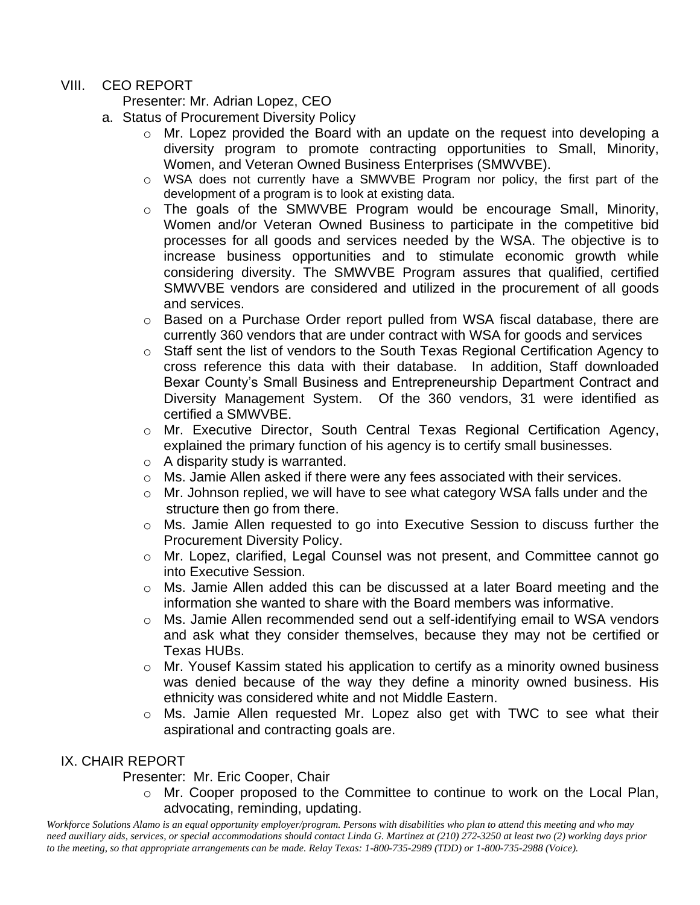# VIII. CEO REPORT

Presenter: Mr. Adrian Lopez, CEO

- a. Status of Procurement Diversity Policy
	- o Mr. Lopez provided the Board with an update on the request into developing a diversity program to promote contracting opportunities to Small, Minority, Women, and Veteran Owned Business Enterprises (SMWVBE).
	- o WSA does not currently have a SMWVBE Program nor policy, the first part of the development of a program is to look at existing data.
	- o The goals of the SMWVBE Program would be encourage Small, Minority, Women and/or Veteran Owned Business to participate in the competitive bid processes for all goods and services needed by the WSA. The objective is to increase business opportunities and to stimulate economic growth while considering diversity. The SMWVBE Program assures that qualified, certified SMWVBE vendors are considered and utilized in the procurement of all goods and services.
	- o Based on a Purchase Order report pulled from WSA fiscal database, there are currently 360 vendors that are under contract with WSA for goods and services
	- o Staff sent the list of vendors to the South Texas Regional Certification Agency to cross reference this data with their database. In addition, Staff downloaded Bexar County's Small Business and Entrepreneurship Department Contract and Diversity Management System. Of the 360 vendors, 31 were identified as certified a SMWVBE.
	- o Mr. Executive Director, South Central Texas Regional Certification Agency, explained the primary function of his agency is to certify small businesses.
	- o A disparity study is warranted.
	- o Ms. Jamie Allen asked if there were any fees associated with their services.
	- o Mr. Johnson replied, we will have to see what category WSA falls under and the structure then go from there.
	- o Ms. Jamie Allen requested to go into Executive Session to discuss further the Procurement Diversity Policy.
	- o Mr. Lopez, clarified, Legal Counsel was not present, and Committee cannot go into Executive Session.
	- o Ms. Jamie Allen added this can be discussed at a later Board meeting and the information she wanted to share with the Board members was informative.
	- o Ms. Jamie Allen recommended send out a self-identifying email to WSA vendors and ask what they consider themselves, because they may not be certified or Texas HUBs.
	- $\circ$  Mr. Yousef Kassim stated his application to certify as a minority owned business was denied because of the way they define a minority owned business. His ethnicity was considered white and not Middle Eastern.
	- o Ms. Jamie Allen requested Mr. Lopez also get with TWC to see what their aspirational and contracting goals are.

# IX. CHAIR REPORT

# Presenter: Mr. Eric Cooper, Chair

o Mr. Cooper proposed to the Committee to continue to work on the Local Plan, advocating, reminding, updating.